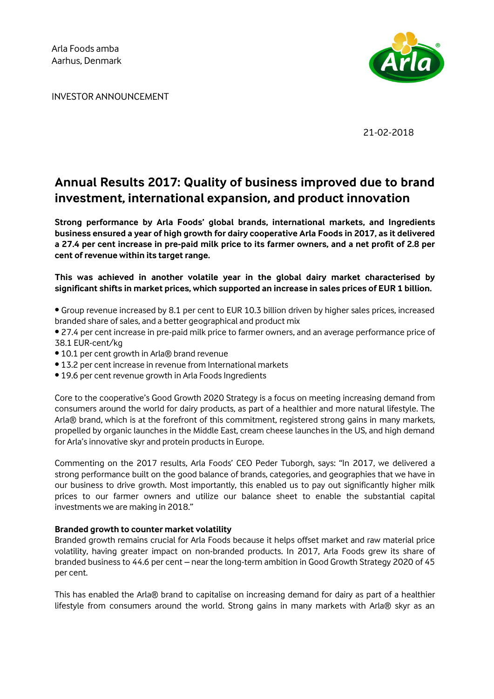INVESTOR ANNOUNCEMENT



21-02-2018

### **Annual Results 2017: Quality of business improved due to brand investment, international expansion, and product innovation**

**Strong performance by Arla Foods' global brands, international markets, and Ingredients business ensured a year of high growth for dairy cooperative Arla Foods in 2017, as it delivered a 27.4 per cent increase in pre-paid milk price to its farmer owners, and a net profit of 2.8 per cent of revenue within its target range.** 

**This was achieved in another volatile year in the global dairy market characterised by significant shifts in market prices, which supported an increase in sales prices of EUR 1 billion.** 

• Group revenue increased by 8.1 per cent to EUR 10.3 billion driven by higher sales prices, increased branded share of sales, and a better geographical and product mix

• 27.4 per cent increase in pre-paid milk price to farmer owners, and an average performance price of 38.1 EUR-cent/kg

- 10.1 per cent growth in Arla® brand revenue
- 13.2 per cent increase in revenue from International markets
- 19.6 per cent revenue growth in Arla Foods Ingredients

Core to the cooperative's Good Growth 2020 Strategy is a focus on meeting increasing demand from consumers around the world for dairy products, as part of a healthier and more natural lifestyle. The Arla® brand, which is at the forefront of this commitment, registered strong gains in many markets, propelled by organic launches in the Middle East, cream cheese launches in the US, and high demand for Arla's innovative skyr and protein products in Europe.

Commenting on the 2017 results, Arla Foods' CEO Peder Tuborgh, says: "In 2017, we delivered a strong performance built on the good balance of brands, categories, and geographies that we have in our business to drive growth. Most importantly, this enabled us to pay out significantly higher milk prices to our farmer owners and utilize our balance sheet to enable the substantial capital investments we are making in 2018."

#### **Branded growth to counter market volatility**

Branded growth remains crucial for Arla Foods because it helps offset market and raw material price volatility, having greater impact on non-branded products. In 2017, Arla Foods grew its share of branded business to 44.6 per cent – near the long-term ambition in Good Growth Strategy 2020 of 45 per cent.

This has enabled the Arla® brand to capitalise on increasing demand for dairy as part of a healthier lifestyle from consumers around the world. Strong gains in many markets with Arla® skyr as an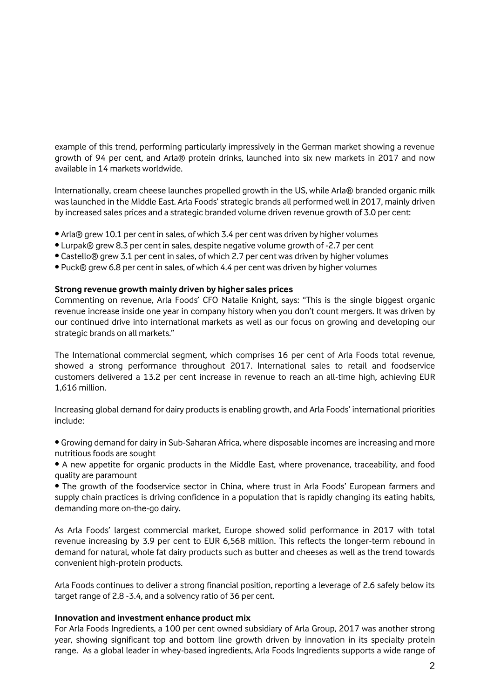example of this trend, performing particularly impressively in the German market showing a revenue growth of 94 per cent, and Arla® protein drinks, launched into six new markets in 2017 and now available in 14 markets worldwide.

Internationally, cream cheese launches propelled growth in the US, while Arla® branded organic milk was launched in the Middle East. Arla Foods' strategic brands all performed well in 2017, mainly driven by increased sales prices and a strategic branded volume driven revenue growth of 3.0 per cent:

- Arla® grew 10.1 per cent in sales, of which 3.4 per cent was driven by higher volumes
- Lurpak® grew 8.3 per cent in sales, despite negative volume growth of -2.7 per cent
- Castello® grew 3.1 per cent in sales, of which 2.7 per cent was driven by higher volumes
- Puck® grew 6.8 per cent in sales, of which 4.4 per cent was driven by higher volumes

#### **Strong revenue growth mainly driven by higher sales prices**

Commenting on revenue, Arla Foods' CFO Natalie Knight, says: "This is the single biggest organic revenue increase inside one year in company history when you don't count mergers. It was driven by our continued drive into international markets as well as our focus on growing and developing our strategic brands on all markets."

The International commercial segment, which comprises 16 per cent of Arla Foods total revenue, showed a strong performance throughout 2017. International sales to retail and foodservice customers delivered a 13.2 per cent increase in revenue to reach an all-time high, achieving EUR 1,616 million.

Increasing global demand for dairy products is enabling growth, and Arla Foods' international priorities include:

• Growing demand for dairy in Sub-Saharan Africa, where disposable incomes are increasing and more nutritious foods are sought

• A new appetite for organic products in the Middle East, where provenance, traceability, and food quality are paramount

• The growth of the foodservice sector in China, where trust in Arla Foods' European farmers and supply chain practices is driving confidence in a population that is rapidly changing its eating habits, demanding more on-the-go dairy.

As Arla Foods' largest commercial market, Europe showed solid performance in 2017 with total revenue increasing by 3.9 per cent to EUR 6,568 million. This reflects the longer-term rebound in demand for natural, whole fat dairy products such as butter and cheeses as well as the trend towards convenient high-protein products.

Arla Foods continues to deliver a strong financial position, reporting a leverage of 2.6 safely below its target range of 2.8 -3.4, and a solvency ratio of 36 per cent.

#### **Innovation and investment enhance product mix**

For Arla Foods Ingredients, a 100 per cent owned subsidiary of Arla Group, 2017 was another strong year, showing significant top and bottom line growth driven by innovation in its specialty protein range. As a global leader in whey-based ingredients, Arla Foods Ingredients supports a wide range of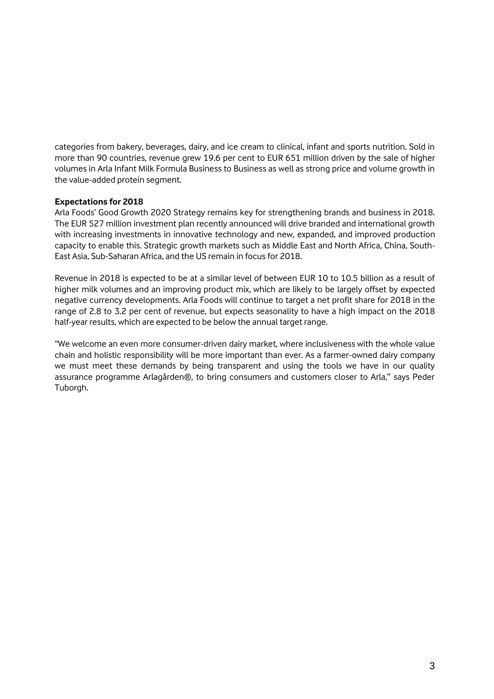categories from bakery, beverages, dairy, and ice cream to clinical, infant and sports nutrition. Sold in more than 90 countries, revenue grew 19.6 per cent to EUR 651 million driven by the sale of higher volumes in Arla Infant Milk Formula Business to Business as well as strong price and volume growth in the value-added protein segment.

#### **Expectations for 2018**

Arla Foods' Good Growth 2020 Strategy remains key for strengthening brands and business in 2018. The EUR 527 million investment plan recently announced will drive branded and international growth with increasing investments in innovative technology and new, expanded, and improved production capacity to enable this. Strategic growth markets such as Middle East and North Africa, China, South-East Asia, Sub-Saharan Africa, and the US remain in focus for 2018.

Revenue in 2018 is expected to be at a similar level of between EUR 10 to 10.5 billion as a result of higher milk volumes and an improving product mix, which are likely to be largely offset by expected negative currency developments. Arla Foods will continue to target a net profit share for 2018 in the range of 2.8 to 3.2 per cent of revenue, but expects seasonality to have a high impact on the 2018 half-year results, which are expected to be below the annual target range.

"We welcome an even more consumer-driven dairy market, where inclusiveness with the whole value chain and holistic responsibility will be more important than ever. As a farmer-owned dairy company we must meet these demands by being transparent and using the tools we have in our quality assurance programme Arlagården®, to bring consumers and customers closer to Arla," says Peder Tuborgh.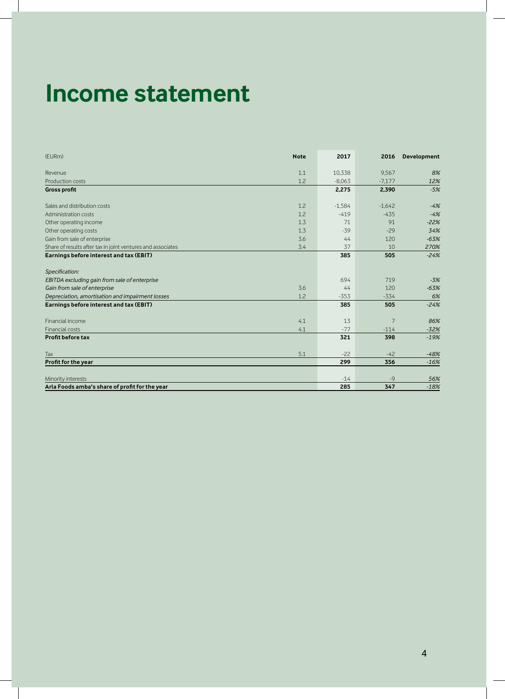## **Income statement**

| (EURm)                                                      | <b>Note</b> | 2017     | 2016     | <b>Development</b> |
|-------------------------------------------------------------|-------------|----------|----------|--------------------|
| Revenue                                                     | 1.1         | 10,338   | 9.567    | 8%                 |
| Production costs                                            | 1.2         | $-8.063$ | $-7,177$ | 12%                |
| <b>Gross profit</b>                                         |             | 2,275    | 2,390    | $-5%$              |
| Sales and distribution costs                                | 1.2         | $-1.584$ | $-1.642$ | $-4%$              |
| Administration costs                                        | 1.2         | $-419$   | $-435$   | $-4%$              |
| Other operating income                                      | 1.3         | 71       | 91       | $-22%$             |
| Other operating costs                                       | 1.3         | $-39$    | $-29$    | 34%                |
| Gain from sale of enterprise                                | 3.6         | 44       | 120      | $-63%$             |
| Share of results after tax in joint ventures and associates | 3.4         | 37       | 10       | 270%               |
| Earnings before interest and tax (EBIT)                     |             | 385      | 505      | $-24%$             |
| Specification:                                              |             |          |          |                    |
| EBITDA excluding gain from sale of enterprise               |             | 694      | 719      | $-3%$              |
| Gain from sale of enterprise                                | 3.6         | 44       | 120      | $-63%$             |
| Depreciation, amortisation and impairment losses            | 1.2         | $-353$   | $-334$   | 6%                 |
| Earnings before interest and tax (EBIT)                     |             | 385      | 505      | $-24%$             |
| Financial income                                            | 4.1         | 13       | 7        | 86%                |
| Financial costs                                             | 4.1         | $-77$    | $-114$   | $-32%$             |
| Profit before tax                                           |             | 321      | 398      | $-19%$             |
| Tax                                                         | 5.1         | $-22$    | $-42$    | $-48%$             |
| Profit for the year                                         |             | 299      | 356      | $-16%$             |
| Minority interests                                          |             | $-14$    | $-9$     | 56%                |
| Arla Foods amba's share of profit for the year              |             | 285      | 347      | $-18%$             |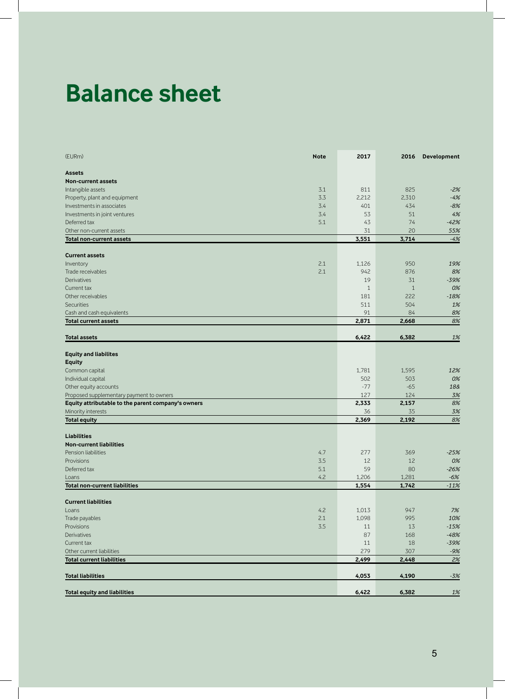### **Balance sheet**

| 3.1<br>811<br>825<br>$-2%$<br>2,212<br>3.3<br>2,310<br>$-4%$<br>3.4<br>401<br>434<br>$-8%$<br>4%<br>Investments in joint ventures<br>3.4<br>53<br>51<br>5.1<br>74<br>43<br>$-42%$<br>20<br>31<br>55%<br>3,551<br>3,714<br>$-4%$<br>2.1<br>1,126<br>950<br>19%<br>2.1<br>942<br>876<br>8%<br>19<br>Derivatives<br>31<br>$-39%$<br>Current tax<br>$\mathbf{1}$<br>$\mathbf{1}$<br>0%<br>222<br>Other receivables<br>181<br>$-18%$<br><b>Securities</b><br>511<br>504<br>1%<br>91<br>Cash and cash equivalents<br>84<br>8%<br>2,871<br>2,668<br>6,422<br>6,382<br>$1\%$<br><b>Total assets</b><br>1,781<br>1,595<br>12%<br>502<br>503<br>0%<br>Individual capital<br>$-65$<br>Other equity accounts<br>$-77$<br>18&<br>127<br>124<br>3%<br>2,333<br>2,157<br>8%<br>36<br>35<br>2,369<br>2,192<br>8%<br>4.7<br>277<br>369<br>$-25%$<br>3.5<br>12<br>12<br>0%<br>5.1<br>59<br>80<br>$-26%$<br>4.2<br>1,206<br>1,281<br>$-6%$<br>1,554<br>1,742<br>$-11%$<br><b>Current liabilities</b><br>7%<br>4.2<br>1,013<br>947<br>Loans<br>2.1<br>1,098<br>995<br>10%<br>Trade payables<br>Provisions<br>3.5<br>13<br>$-15%$<br>11<br>87<br>$-48%$<br>168<br>18<br>$-39%$<br>Current tax<br>11<br>279<br>307<br>Other current liabilities<br>$-9%$<br>2,499<br>2,448<br>4,053<br>4,190<br><b>Total equity and liabilities</b><br>6,422<br>6,382<br><u>1%</u> | (EURm)                                             | <b>Note</b> | 2017 | 2016 | Development |
|----------------------------------------------------------------------------------------------------------------------------------------------------------------------------------------------------------------------------------------------------------------------------------------------------------------------------------------------------------------------------------------------------------------------------------------------------------------------------------------------------------------------------------------------------------------------------------------------------------------------------------------------------------------------------------------------------------------------------------------------------------------------------------------------------------------------------------------------------------------------------------------------------------------------------------------------------------------------------------------------------------------------------------------------------------------------------------------------------------------------------------------------------------------------------------------------------------------------------------------------------------------------------------------------------------------------------------------------|----------------------------------------------------|-------------|------|------|-------------|
|                                                                                                                                                                                                                                                                                                                                                                                                                                                                                                                                                                                                                                                                                                                                                                                                                                                                                                                                                                                                                                                                                                                                                                                                                                                                                                                                              | <b>Assets</b>                                      |             |      |      |             |
|                                                                                                                                                                                                                                                                                                                                                                                                                                                                                                                                                                                                                                                                                                                                                                                                                                                                                                                                                                                                                                                                                                                                                                                                                                                                                                                                              | <b>Non-current assets</b>                          |             |      |      |             |
|                                                                                                                                                                                                                                                                                                                                                                                                                                                                                                                                                                                                                                                                                                                                                                                                                                                                                                                                                                                                                                                                                                                                                                                                                                                                                                                                              | Intangible assets                                  |             |      |      |             |
|                                                                                                                                                                                                                                                                                                                                                                                                                                                                                                                                                                                                                                                                                                                                                                                                                                                                                                                                                                                                                                                                                                                                                                                                                                                                                                                                              | Property, plant and equipment                      |             |      |      |             |
|                                                                                                                                                                                                                                                                                                                                                                                                                                                                                                                                                                                                                                                                                                                                                                                                                                                                                                                                                                                                                                                                                                                                                                                                                                                                                                                                              | Investments in associates                          |             |      |      |             |
|                                                                                                                                                                                                                                                                                                                                                                                                                                                                                                                                                                                                                                                                                                                                                                                                                                                                                                                                                                                                                                                                                                                                                                                                                                                                                                                                              |                                                    |             |      |      |             |
|                                                                                                                                                                                                                                                                                                                                                                                                                                                                                                                                                                                                                                                                                                                                                                                                                                                                                                                                                                                                                                                                                                                                                                                                                                                                                                                                              | Deferred tax                                       |             |      |      |             |
|                                                                                                                                                                                                                                                                                                                                                                                                                                                                                                                                                                                                                                                                                                                                                                                                                                                                                                                                                                                                                                                                                                                                                                                                                                                                                                                                              | Other non-current assets                           |             |      |      |             |
|                                                                                                                                                                                                                                                                                                                                                                                                                                                                                                                                                                                                                                                                                                                                                                                                                                                                                                                                                                                                                                                                                                                                                                                                                                                                                                                                              | <b>Total non-current assets</b>                    |             |      |      |             |
|                                                                                                                                                                                                                                                                                                                                                                                                                                                                                                                                                                                                                                                                                                                                                                                                                                                                                                                                                                                                                                                                                                                                                                                                                                                                                                                                              | <b>Current assets</b>                              |             |      |      |             |
|                                                                                                                                                                                                                                                                                                                                                                                                                                                                                                                                                                                                                                                                                                                                                                                                                                                                                                                                                                                                                                                                                                                                                                                                                                                                                                                                              | Inventory                                          |             |      |      |             |
|                                                                                                                                                                                                                                                                                                                                                                                                                                                                                                                                                                                                                                                                                                                                                                                                                                                                                                                                                                                                                                                                                                                                                                                                                                                                                                                                              | Trade receivables                                  |             |      |      |             |
|                                                                                                                                                                                                                                                                                                                                                                                                                                                                                                                                                                                                                                                                                                                                                                                                                                                                                                                                                                                                                                                                                                                                                                                                                                                                                                                                              |                                                    |             |      |      |             |
|                                                                                                                                                                                                                                                                                                                                                                                                                                                                                                                                                                                                                                                                                                                                                                                                                                                                                                                                                                                                                                                                                                                                                                                                                                                                                                                                              |                                                    |             |      |      |             |
|                                                                                                                                                                                                                                                                                                                                                                                                                                                                                                                                                                                                                                                                                                                                                                                                                                                                                                                                                                                                                                                                                                                                                                                                                                                                                                                                              |                                                    |             |      |      |             |
|                                                                                                                                                                                                                                                                                                                                                                                                                                                                                                                                                                                                                                                                                                                                                                                                                                                                                                                                                                                                                                                                                                                                                                                                                                                                                                                                              |                                                    |             |      |      |             |
|                                                                                                                                                                                                                                                                                                                                                                                                                                                                                                                                                                                                                                                                                                                                                                                                                                                                                                                                                                                                                                                                                                                                                                                                                                                                                                                                              |                                                    |             |      |      |             |
|                                                                                                                                                                                                                                                                                                                                                                                                                                                                                                                                                                                                                                                                                                                                                                                                                                                                                                                                                                                                                                                                                                                                                                                                                                                                                                                                              | <b>Total current assets</b>                        |             |      |      | 8%          |
|                                                                                                                                                                                                                                                                                                                                                                                                                                                                                                                                                                                                                                                                                                                                                                                                                                                                                                                                                                                                                                                                                                                                                                                                                                                                                                                                              |                                                    |             |      |      |             |
|                                                                                                                                                                                                                                                                                                                                                                                                                                                                                                                                                                                                                                                                                                                                                                                                                                                                                                                                                                                                                                                                                                                                                                                                                                                                                                                                              |                                                    |             |      |      |             |
|                                                                                                                                                                                                                                                                                                                                                                                                                                                                                                                                                                                                                                                                                                                                                                                                                                                                                                                                                                                                                                                                                                                                                                                                                                                                                                                                              | <b>Equity and liabilites</b>                       |             |      |      |             |
|                                                                                                                                                                                                                                                                                                                                                                                                                                                                                                                                                                                                                                                                                                                                                                                                                                                                                                                                                                                                                                                                                                                                                                                                                                                                                                                                              | <b>Equity</b>                                      |             |      |      |             |
|                                                                                                                                                                                                                                                                                                                                                                                                                                                                                                                                                                                                                                                                                                                                                                                                                                                                                                                                                                                                                                                                                                                                                                                                                                                                                                                                              | Common capital                                     |             |      |      |             |
|                                                                                                                                                                                                                                                                                                                                                                                                                                                                                                                                                                                                                                                                                                                                                                                                                                                                                                                                                                                                                                                                                                                                                                                                                                                                                                                                              |                                                    |             |      |      |             |
|                                                                                                                                                                                                                                                                                                                                                                                                                                                                                                                                                                                                                                                                                                                                                                                                                                                                                                                                                                                                                                                                                                                                                                                                                                                                                                                                              |                                                    |             |      |      |             |
|                                                                                                                                                                                                                                                                                                                                                                                                                                                                                                                                                                                                                                                                                                                                                                                                                                                                                                                                                                                                                                                                                                                                                                                                                                                                                                                                              | Proposed supplementary payment to owners           |             |      |      |             |
|                                                                                                                                                                                                                                                                                                                                                                                                                                                                                                                                                                                                                                                                                                                                                                                                                                                                                                                                                                                                                                                                                                                                                                                                                                                                                                                                              | Equity attributable to the parent company's owners |             |      |      |             |
|                                                                                                                                                                                                                                                                                                                                                                                                                                                                                                                                                                                                                                                                                                                                                                                                                                                                                                                                                                                                                                                                                                                                                                                                                                                                                                                                              | Minority interests                                 |             |      |      | 3%          |
|                                                                                                                                                                                                                                                                                                                                                                                                                                                                                                                                                                                                                                                                                                                                                                                                                                                                                                                                                                                                                                                                                                                                                                                                                                                                                                                                              | <b>Total equity</b>                                |             |      |      |             |
|                                                                                                                                                                                                                                                                                                                                                                                                                                                                                                                                                                                                                                                                                                                                                                                                                                                                                                                                                                                                                                                                                                                                                                                                                                                                                                                                              | <b>Liabilities</b>                                 |             |      |      |             |
|                                                                                                                                                                                                                                                                                                                                                                                                                                                                                                                                                                                                                                                                                                                                                                                                                                                                                                                                                                                                                                                                                                                                                                                                                                                                                                                                              | <b>Non-current liabilities</b>                     |             |      |      |             |
|                                                                                                                                                                                                                                                                                                                                                                                                                                                                                                                                                                                                                                                                                                                                                                                                                                                                                                                                                                                                                                                                                                                                                                                                                                                                                                                                              | Pension liabilities                                |             |      |      |             |
|                                                                                                                                                                                                                                                                                                                                                                                                                                                                                                                                                                                                                                                                                                                                                                                                                                                                                                                                                                                                                                                                                                                                                                                                                                                                                                                                              | Provisions                                         |             |      |      |             |
|                                                                                                                                                                                                                                                                                                                                                                                                                                                                                                                                                                                                                                                                                                                                                                                                                                                                                                                                                                                                                                                                                                                                                                                                                                                                                                                                              | Deferred tax                                       |             |      |      |             |
|                                                                                                                                                                                                                                                                                                                                                                                                                                                                                                                                                                                                                                                                                                                                                                                                                                                                                                                                                                                                                                                                                                                                                                                                                                                                                                                                              | Loans                                              |             |      |      |             |
|                                                                                                                                                                                                                                                                                                                                                                                                                                                                                                                                                                                                                                                                                                                                                                                                                                                                                                                                                                                                                                                                                                                                                                                                                                                                                                                                              | <b>Total non-current liabilities</b>               |             |      |      |             |
|                                                                                                                                                                                                                                                                                                                                                                                                                                                                                                                                                                                                                                                                                                                                                                                                                                                                                                                                                                                                                                                                                                                                                                                                                                                                                                                                              |                                                    |             |      |      |             |
|                                                                                                                                                                                                                                                                                                                                                                                                                                                                                                                                                                                                                                                                                                                                                                                                                                                                                                                                                                                                                                                                                                                                                                                                                                                                                                                                              |                                                    |             |      |      |             |
|                                                                                                                                                                                                                                                                                                                                                                                                                                                                                                                                                                                                                                                                                                                                                                                                                                                                                                                                                                                                                                                                                                                                                                                                                                                                                                                                              |                                                    |             |      |      |             |
|                                                                                                                                                                                                                                                                                                                                                                                                                                                                                                                                                                                                                                                                                                                                                                                                                                                                                                                                                                                                                                                                                                                                                                                                                                                                                                                                              |                                                    |             |      |      |             |
|                                                                                                                                                                                                                                                                                                                                                                                                                                                                                                                                                                                                                                                                                                                                                                                                                                                                                                                                                                                                                                                                                                                                                                                                                                                                                                                                              | Derivatives                                        |             |      |      |             |
|                                                                                                                                                                                                                                                                                                                                                                                                                                                                                                                                                                                                                                                                                                                                                                                                                                                                                                                                                                                                                                                                                                                                                                                                                                                                                                                                              |                                                    |             |      |      |             |
|                                                                                                                                                                                                                                                                                                                                                                                                                                                                                                                                                                                                                                                                                                                                                                                                                                                                                                                                                                                                                                                                                                                                                                                                                                                                                                                                              |                                                    |             |      |      |             |
|                                                                                                                                                                                                                                                                                                                                                                                                                                                                                                                                                                                                                                                                                                                                                                                                                                                                                                                                                                                                                                                                                                                                                                                                                                                                                                                                              | <b>Total current liabilities</b>                   |             |      |      | 2%          |
|                                                                                                                                                                                                                                                                                                                                                                                                                                                                                                                                                                                                                                                                                                                                                                                                                                                                                                                                                                                                                                                                                                                                                                                                                                                                                                                                              | <b>Total liabilities</b>                           |             |      |      | $-3%$       |
|                                                                                                                                                                                                                                                                                                                                                                                                                                                                                                                                                                                                                                                                                                                                                                                                                                                                                                                                                                                                                                                                                                                                                                                                                                                                                                                                              |                                                    |             |      |      |             |